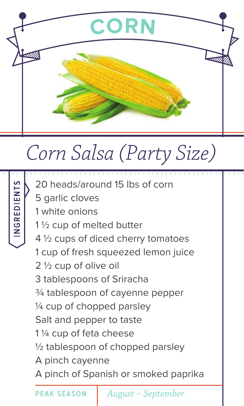

## *Corn Salsa (Party Size)*



20 heads/around 15 lbs of corn

- 5 garlic cloves
- 1 white onions
- 1 ½ cup of melted butter
- 4 ½ cups of diced cherry tomatoes
- 1 cup of fresh squeezed lemon juice
- 2 ½ cup of olive oil
- 3 tablespoons of Sriracha
- ¾ tablespoon of cayenne pepper
- ¼ cup of chopped parsley
- Salt and pepper to taste
- 1 ¼ cup of feta cheese
- ½ tablespoon of chopped parsley
- A pinch cayenne
- A pinch of Spanish or smoked paprika

**PEAK SEASON** *August – September*